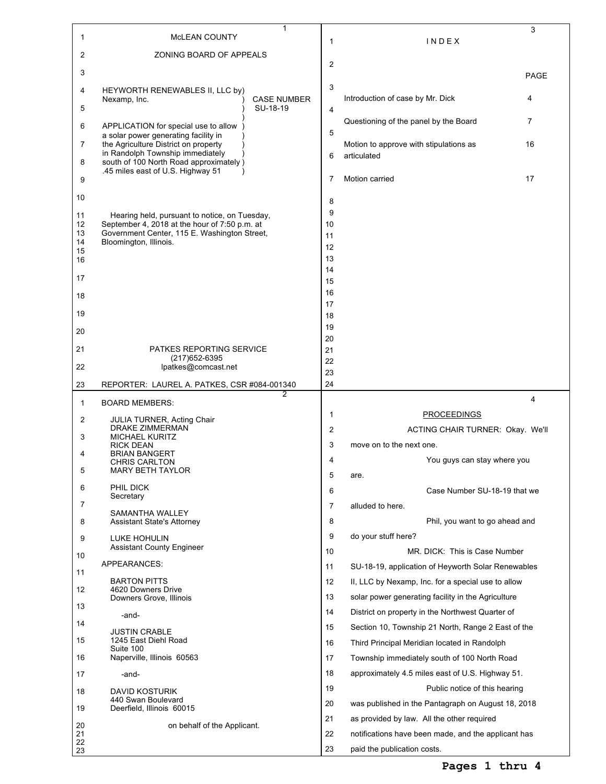|                |                                                                                                | 1                              |                |                                                              | 3           |
|----------------|------------------------------------------------------------------------------------------------|--------------------------------|----------------|--------------------------------------------------------------|-------------|
| 1              | MCLEAN COUNTY                                                                                  |                                | 1              | INDEX                                                        |             |
| 2              | ZONING BOARD OF APPEALS                                                                        |                                | $\overline{2}$ |                                                              |             |
| 3              |                                                                                                |                                |                |                                                              | <b>PAGE</b> |
| 4              | HEYWORTH RENEWABLES II, LLC by)                                                                |                                | 3              |                                                              |             |
| 5              | Nexamp, Inc.                                                                                   | <b>CASE NUMBER</b><br>SU-18-19 |                | Introduction of case by Mr. Dick                             | 4           |
|                |                                                                                                |                                | 4              | Questioning of the panel by the Board                        | 7           |
| 6              | APPLICATION for special use to allow<br>a solar power generating facility in                   |                                | 5              |                                                              |             |
| 7              | the Agriculture District on property<br>in Randolph Township immediately                       |                                |                | Motion to approve with stipulations as                       | 16          |
| 8              | south of 100 North Road approximately)                                                         |                                | 6              | articulated                                                  |             |
| 9              | .45 miles east of U.S. Highway 51                                                              |                                | 7              | Motion carried                                               | 17          |
|                |                                                                                                |                                |                |                                                              |             |
| 10             |                                                                                                |                                | 8              |                                                              |             |
| 11<br>12       | Hearing held, pursuant to notice, on Tuesday,<br>September 4, 2018 at the hour of 7:50 p.m. at |                                | 9<br>10        |                                                              |             |
| 13             | Government Center, 115 E. Washington Street,                                                   |                                | 11             |                                                              |             |
| 14<br>15       | Bloomington, Illinois.                                                                         |                                | 12             |                                                              |             |
| 16             |                                                                                                |                                | 13<br>14       |                                                              |             |
| 17             |                                                                                                |                                | 15             |                                                              |             |
| 18             |                                                                                                |                                | 16             |                                                              |             |
| 19             |                                                                                                |                                | 17             |                                                              |             |
|                |                                                                                                |                                | 18<br>19       |                                                              |             |
| 20             |                                                                                                |                                | 20             |                                                              |             |
| 21             | PATKES REPORTING SERVICE                                                                       |                                | 21             |                                                              |             |
| 22             | (217) 652-6395<br>lpatkes@comcast.net                                                          |                                | 22             |                                                              |             |
| 23             | REPORTER: LAUREL A. PATKES, CSR #084-001340                                                    |                                | 23<br>24       |                                                              |             |
|                |                                                                                                |                                |                |                                                              |             |
|                |                                                                                                | 2                              |                |                                                              | 4           |
| 1              | <b>BOARD MEMBERS:</b>                                                                          |                                | 1              |                                                              |             |
| 2              | <b>JULIA TURNER, Acting Chair</b><br>DRAKE ZIMMERMAN                                           |                                | 2              | <b>PROCEEDINGS</b>                                           |             |
| 3              | <b>MICHAEL KURITZ</b>                                                                          |                                | 3              | ACTING CHAIR TURNER: Okay. We'll<br>move on to the next one. |             |
| 4              | <b>RICK DEAN</b><br><b>BRIAN BANGERT</b>                                                       |                                |                |                                                              |             |
| 5              | <b>CHRIS CARLTON</b><br>MARY BETH TAYLOR                                                       |                                | 4              | You guys can stay where you                                  |             |
| 6              | PHIL DICK                                                                                      |                                | 5              | are.                                                         |             |
|                | Secretary                                                                                      |                                | 6              | Case Number SU-18-19 that we                                 |             |
| 7              | SAMANTHA WALLEY                                                                                |                                | 7              | alluded to here.                                             |             |
| 8              | <b>Assistant State's Attorney</b>                                                              |                                | 8              | Phil, you want to go ahead and                               |             |
| 9              | LUKE HOHULIN<br><b>Assistant County Engineer</b>                                               |                                | 9              | do your stuff here?                                          |             |
| 10             |                                                                                                |                                | 10             | MR. DICK: This is Case Number                                |             |
| 11             | APPEARANCES:                                                                                   |                                | 11             | SU-18-19, application of Heyworth Solar Renewables           |             |
| 12             | <b>BARTON PITTS</b><br>4620 Downers Drive                                                      |                                | 12             | II, LLC by Nexamp, Inc. for a special use to allow           |             |
| 13             | Downers Grove, Illinois                                                                        |                                | 13             | solar power generating facility in the Agriculture           |             |
|                | -and-                                                                                          |                                | 14             | District on property in the Northwest Quarter of             |             |
| 14             | <b>JUSTIN CRABLE</b>                                                                           |                                | 15             | Section 10, Township 21 North, Range 2 East of the           |             |
| 15             | 1245 East Diehl Road<br>Suite 100                                                              |                                | 16             | Third Principal Meridian located in Randolph                 |             |
| 16             | Naperville, Illinois 60563                                                                     |                                | 17             | Township immediately south of 100 North Road                 |             |
| 17             | -and-                                                                                          |                                | 18             | approximately 4.5 miles east of U.S. Highway 51.             |             |
| 18             | <b>DAVID KOSTURIK</b>                                                                          |                                | 19             | Public notice of this hearing                                |             |
| 19             | 440 Swan Boulevard<br>Deerfield, Illinois 60015                                                |                                | 20             | was published in the Pantagraph on August 18, 2018           |             |
|                |                                                                                                |                                | 21             | as provided by law. All the other required                   |             |
| 20<br>21<br>22 | on behalf of the Applicant.                                                                    |                                | 22             | notifications have been made, and the applicant has          |             |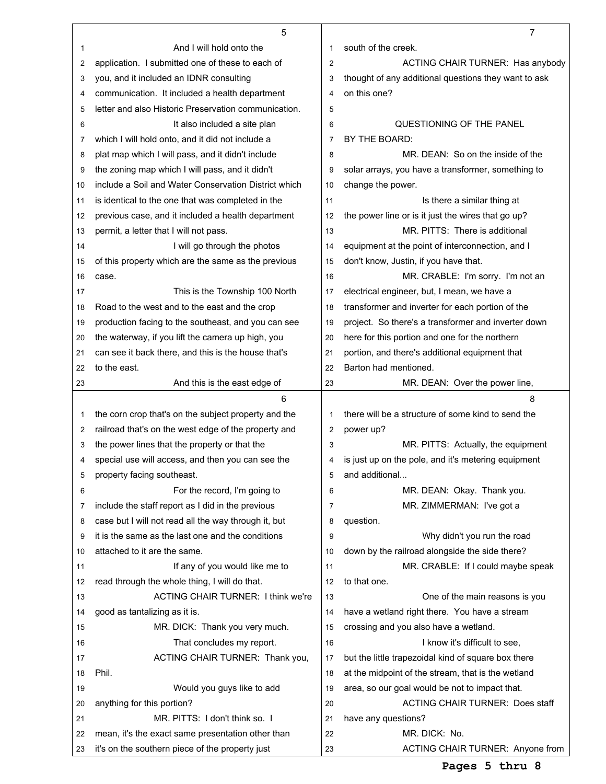|    | 5                                                    |    | $\overline{7}$                                       |
|----|------------------------------------------------------|----|------------------------------------------------------|
| 1  | And I will hold onto the                             | 1  | south of the creek.                                  |
| 2  | application. I submitted one of these to each of     | 2  | ACTING CHAIR TURNER: Has anybody                     |
| 3  | you, and it included an IDNR consulting              | 3  | thought of any additional questions they want to ask |
| 4  | communication. It included a health department       | 4  | on this one?                                         |
| 5  | letter and also Historic Preservation communication. | 5  |                                                      |
| 6  | It also included a site plan                         | 6  | QUESTIONING OF THE PANEL                             |
| 7  | which I will hold onto, and it did not include a     | 7  | BY THE BOARD:                                        |
| 8  | plat map which I will pass, and it didn't include    | 8  | MR. DEAN: So on the inside of the                    |
| 9  | the zoning map which I will pass, and it didn't      | 9  | solar arrays, you have a transformer, something to   |
| 10 | include a Soil and Water Conservation District which | 10 | change the power.                                    |
| 11 | is identical to the one that was completed in the    | 11 | Is there a similar thing at                          |
| 12 | previous case, and it included a health department   | 12 | the power line or is it just the wires that go up?   |
| 13 | permit, a letter that I will not pass.               | 13 | MR. PITTS: There is additional                       |
| 14 | I will go through the photos                         | 14 | equipment at the point of interconnection, and I     |
| 15 | of this property which are the same as the previous  | 15 | don't know, Justin, if you have that.                |
| 16 | case.                                                | 16 | MR. CRABLE: I'm sorry. I'm not an                    |
| 17 | This is the Township 100 North                       | 17 | electrical engineer, but, I mean, we have a          |
| 18 | Road to the west and to the east and the crop        | 18 | transformer and inverter for each portion of the     |
| 19 | production facing to the southeast, and you can see  | 19 | project. So there's a transformer and inverter down  |
| 20 | the waterway, if you lift the camera up high, you    | 20 | here for this portion and one for the northern       |
| 21 | can see it back there, and this is the house that's  | 21 | portion, and there's additional equipment that       |
| 22 | to the east.                                         | 22 | Barton had mentioned.                                |
| 23 | And this is the east edge of                         | 23 | MR. DEAN: Over the power line,                       |
|    |                                                      |    |                                                      |
|    |                                                      |    |                                                      |
|    | 6                                                    |    | 8                                                    |
| 1  | the corn crop that's on the subject property and the | 1  | there will be a structure of some kind to send the   |
| 2  | railroad that's on the west edge of the property and | 2  | power up?                                            |
| 3  | the power lines that the property or that the        | 3  | MR. PITTS: Actually, the equipment                   |
| 4  | special use will access, and then you can see the    | 4  | is just up on the pole, and it's metering equipment  |
| 5  | property facing southeast.                           | 5  | and additional                                       |
| 6  | For the record, I'm going to                         | 6  | MR. DEAN: Okay. Thank you.                           |
| 7  | include the staff report as I did in the previous    | 7  | MR. ZIMMERMAN: I've got a                            |
| 8  | case but I will not read all the way through it, but | 8  | question.                                            |
| 9  | it is the same as the last one and the conditions    | 9  | Why didn't you run the road                          |
| 10 | attached to it are the same.                         | 10 | down by the railroad alongside the side there?       |
| 11 | If any of you would like me to                       | 11 | MR. CRABLE: If I could maybe speak                   |
| 12 | read through the whole thing, I will do that.        | 12 | to that one.                                         |
| 13 | <b>ACTING CHAIR TURNER: I think we're</b>            | 13 | One of the main reasons is you                       |
| 14 | good as tantalizing as it is.                        | 14 | have a wetland right there. You have a stream        |
| 15 | MR. DICK: Thank you very much.                       | 15 | crossing and you also have a wetland.                |
| 16 | That concludes my report.                            | 16 | I know it's difficult to see,                        |
| 17 | ACTING CHAIR TURNER: Thank you,                      | 17 | but the little trapezoidal kind of square box there  |
| 18 | Phil.                                                | 18 | at the midpoint of the stream, that is the wetland   |
| 19 | Would you guys like to add                           | 19 | area, so our goal would be not to impact that.       |
| 20 | anything for this portion?                           | 20 | <b>ACTING CHAIR TURNER: Does staff</b>               |
| 21 | MR. PITTS: I don't think so. I                       | 21 | have any questions?                                  |
| 22 | mean, it's the exact same presentation other than    | 22 | MR. DICK: No.                                        |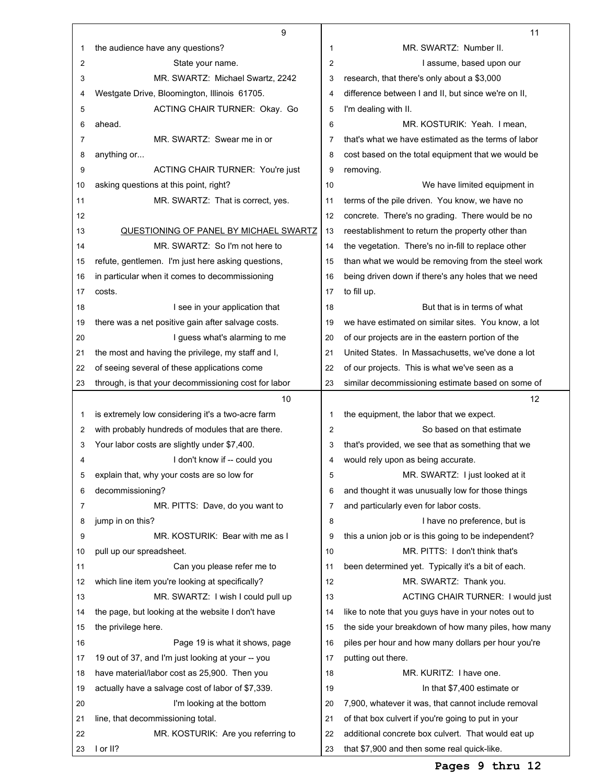|    | 9                                                    |    | 11                                                   |
|----|------------------------------------------------------|----|------------------------------------------------------|
| 1  | the audience have any questions?                     | 1  | MR. SWARTZ: Number II.                               |
| 2  | State your name.                                     | 2  | I assume, based upon our                             |
| 3  | MR. SWARTZ: Michael Swartz, 2242                     | 3  | research, that there's only about a \$3,000          |
| 4  | Westgate Drive, Bloomington, Illinois 61705.         | 4  | difference between I and II, but since we're on II,  |
| 5  | ACTING CHAIR TURNER: Okay. Go                        | 5  | I'm dealing with II.                                 |
| 6  | ahead.                                               | 6  | MR. KOSTURIK: Yeah. I mean,                          |
| 7  | MR. SWARTZ: Swear me in or                           | 7  | that's what we have estimated as the terms of labor  |
| 8  | anything or                                          | 8  | cost based on the total equipment that we would be   |
| 9  | ACTING CHAIR TURNER: You're just                     | 9  | removing.                                            |
| 10 | asking questions at this point, right?               | 10 | We have limited equipment in                         |
| 11 | MR. SWARTZ: That is correct, yes.                    | 11 | terms of the pile driven. You know, we have no       |
| 12 |                                                      | 12 | concrete. There's no grading. There would be no      |
| 13 | QUESTIONING OF PANEL BY MICHAEL SWARTZ               | 13 | reestablishment to return the property other than    |
| 14 | MR. SWARTZ: So I'm not here to                       | 14 | the vegetation. There's no in-fill to replace other  |
| 15 | refute, gentlemen. I'm just here asking questions,   | 15 | than what we would be removing from the steel work   |
| 16 | in particular when it comes to decommissioning       | 16 | being driven down if there's any holes that we need  |
| 17 | costs.                                               | 17 | to fill up.                                          |
| 18 | I see in your application that                       | 18 | But that is in terms of what                         |
| 19 | there was a net positive gain after salvage costs.   | 19 | we have estimated on similar sites. You know, a lot  |
| 20 | I guess what's alarming to me                        | 20 | of our projects are in the eastern portion of the    |
| 21 | the most and having the privilege, my staff and I,   | 21 | United States. In Massachusetts, we've done a lot    |
| 22 | of seeing several of these applications come         | 22 | of our projects. This is what we've seen as a        |
| 23 | through, is that your decommissioning cost for labor | 23 | similar decommissioning estimate based on some of    |
|    | 10                                                   |    | $12 \overline{ }$                                    |
| 1  | is extremely low considering it's a two-acre farm    | 1  | the equipment, the labor that we expect.             |
| 2  | with probably hundreds of modules that are there.    | 2  | So based on that estimate                            |
| 3  | Your labor costs are slightly under \$7,400.         | 3  | that's provided, we see that as something that we    |
| 4  | I don't know if -- could you                         | 4  | would rely upon as being accurate.                   |
| 5  | explain that, why your costs are so low for          | 5  | MR. SWARTZ: I just looked at it                      |
| 6  | decommissioning?                                     | 6  | and thought it was unusually low for those things    |
| 7  | MR. PITTS: Dave, do you want to                      | 7  | and particularly even for labor costs.               |
| 8  | jump in on this?                                     | 8  | I have no preference, but is                         |
| 9  | MR. KOSTURIK: Bear with me as I                      | 9  | this a union job or is this going to be independent? |
| 10 | pull up our spreadsheet.                             | 10 | MR. PITTS: I don't think that's                      |
| 11 | Can you please refer me to                           | 11 | been determined yet. Typically it's a bit of each.   |
| 12 | which line item you're looking at specifically?      | 12 | MR. SWARTZ: Thank you.                               |
| 13 | MR. SWARTZ: I wish I could pull up                   | 13 | <b>ACTING CHAIR TURNER: I would just</b>             |
| 14 | the page, but looking at the website I don't have    | 14 | like to note that you guys have in your notes out to |
| 15 | the privilege here.                                  | 15 | the side your breakdown of how many piles, how many  |
| 16 | Page 19 is what it shows, page                       | 16 | piles per hour and how many dollars per hour you're  |
| 17 | 19 out of 37, and I'm just looking at your -- you    | 17 | putting out there.                                   |
| 18 | have material/labor cost as 25,900. Then you         | 18 | MR. KURITZ: I have one.                              |
| 19 | actually have a salvage cost of labor of \$7,339.    | 19 | In that \$7,400 estimate or                          |
| 20 | I'm looking at the bottom                            | 20 | 7,900, whatever it was, that cannot include removal  |
| 21 | line, that decommissioning total.                    | 21 | of that box culvert if you're going to put in your   |
| 22 | MR. KOSTURIK: Are you referring to                   | 22 | additional concrete box culvert. That would eat up   |
|    | I or II?                                             | 23 | that \$7,900 and then some real quick-like.          |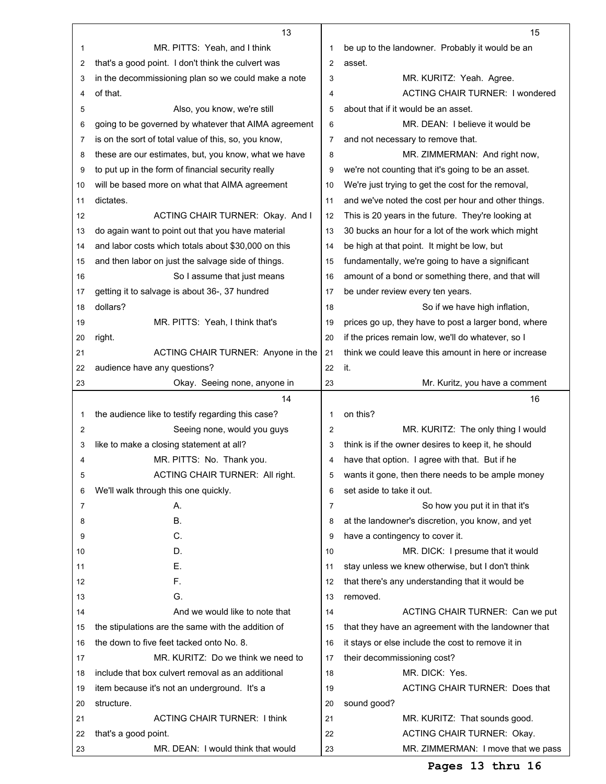|    | 13                                                   |                | 15                                                   |
|----|------------------------------------------------------|----------------|------------------------------------------------------|
| 1  | MR. PITTS: Yeah, and I think                         | 1              | be up to the landowner. Probably it would be an      |
| 2  | that's a good point. I don't think the culvert was   | $\overline{2}$ | asset.                                               |
| 3  | in the decommissioning plan so we could make a note  | 3              | MR. KURITZ: Yeah. Agree.                             |
| 4  | of that.                                             | 4              | <b>ACTING CHAIR TURNER: I wondered</b>               |
| 5  | Also, you know, we're still                          | 5              | about that if it would be an asset.                  |
| 6  | going to be governed by whatever that AIMA agreement | 6              | MR. DEAN: I believe it would be                      |
| 7  | is on the sort of total value of this, so, you know, | 7              | and not necessary to remove that.                    |
| 8  | these are our estimates, but, you know, what we have | 8              | MR. ZIMMERMAN: And right now,                        |
| 9  | to put up in the form of financial security really   | 9              | we're not counting that it's going to be an asset.   |
| 10 | will be based more on what that AIMA agreement       | 10             | We're just trying to get the cost for the removal,   |
| 11 | dictates.                                            | 11             | and we've noted the cost per hour and other things.  |
| 12 | ACTING CHAIR TURNER: Okay. And I                     | 12             | This is 20 years in the future. They're looking at   |
| 13 | do again want to point out that you have material    | 13             | 30 bucks an hour for a lot of the work which might   |
| 14 | and labor costs which totals about \$30,000 on this  | 14             | be high at that point. It might be low, but          |
| 15 | and then labor on just the salvage side of things.   | 15             | fundamentally, we're going to have a significant     |
| 16 | So I assume that just means                          | 16             | amount of a bond or something there, and that will   |
| 17 | getting it to salvage is about 36-, 37 hundred       | 17             | be under review every ten years.                     |
| 18 | dollars?                                             | 18             | So if we have high inflation,                        |
| 19 | MR. PITTS: Yeah, I think that's                      | 19             | prices go up, they have to post a larger bond, where |
| 20 | right.                                               | 20             | if the prices remain low, we'll do whatever, so I    |
| 21 | ACTING CHAIR TURNER: Anyone in the                   | 21             | think we could leave this amount in here or increase |
| 22 | audience have any questions?                         | 22             | it.                                                  |
| 23 | Okay. Seeing none, anyone in                         | 23             | Mr. Kuritz, you have a comment                       |
|    |                                                      |                |                                                      |
|    | 14                                                   |                | 16                                                   |
| 1  | the audience like to testify regarding this case?    | 1              | on this?                                             |
| 2  | Seeing none, would you guys                          | 2              | MR. KURITZ: The only thing I would                   |
| 3  | like to make a closing statement at all?             | 3              | think is if the owner desires to keep it, he should  |
| 4  | MR. PITTS: No. Thank you.                            | 4              | have that option. I agree with that. But if he       |
| 5  | ACTING CHAIR TURNER: All right.                      | 5              | wants it gone, then there needs to be ample money    |
| 6  | We'll walk through this one quickly.                 | 6              | set aside to take it out.                            |
| 7  | А.                                                   | 7              | So how you put it in that it's                       |
| 8  | Β.                                                   | 8              | at the landowner's discretion, you know, and yet     |
| 9  | C.                                                   | 9              | have a contingency to cover it.                      |
| 10 | D.                                                   | 10             | MR. DICK: I presume that it would                    |
| 11 | Е.                                                   | 11             | stay unless we knew otherwise, but I don't think     |
| 12 | F.                                                   | 12             | that there's any understanding that it would be      |
| 13 | G.                                                   | 13             | removed.                                             |
| 14 | And we would like to note that                       | 14             | ACTING CHAIR TURNER: Can we put                      |
| 15 | the stipulations are the same with the addition of   | 15             | that they have an agreement with the landowner that  |
| 16 | the down to five feet tacked onto No. 8.             | 16             | it stays or else include the cost to remove it in    |
| 17 | MR. KURITZ: Do we think we need to                   | 17             | their decommissioning cost?                          |
| 18 | include that box culvert removal as an additional    | 18             | MR. DICK: Yes.                                       |
| 19 | item because it's not an underground. It's a         | 19             | <b>ACTING CHAIR TURNER: Does that</b>                |
| 20 | structure.                                           | 20             | sound good?                                          |
| 21 | ACTING CHAIR TURNER: I think                         | 21             | MR. KURITZ: That sounds good.                        |
| 22 | that's a good point.                                 | 22             | <b>ACTING CHAIR TURNER: Okay.</b>                    |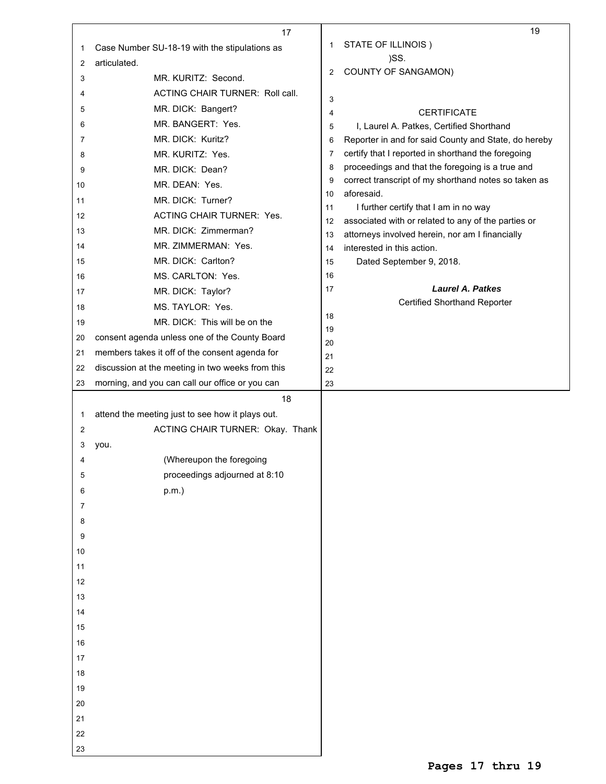|    | 17                                               |                | 19                                                                                               |
|----|--------------------------------------------------|----------------|--------------------------------------------------------------------------------------------------|
| 1  | Case Number SU-18-19 with the stipulations as    | 1              | STATE OF ILLINOIS)                                                                               |
| 2  | articulated.                                     |                | )SS.                                                                                             |
| 3  | MR. KURITZ: Second.                              | 2              | <b>COUNTY OF SANGAMON)</b>                                                                       |
| 4  | ACTING CHAIR TURNER: Roll call.                  |                |                                                                                                  |
| 5  | MR. DICK: Bangert?                               | 3              |                                                                                                  |
| 6  | MR. BANGERT: Yes.                                | $\overline{4}$ | <b>CERTIFICATE</b>                                                                               |
| 7  | MR. DICK: Kuritz?                                | 5              | I, Laurel A. Patkes, Certified Shorthand<br>Reporter in and for said County and State, do hereby |
|    | MR. KURITZ: Yes.                                 | 6<br>7         | certify that I reported in shorthand the foregoing                                               |
| 8  |                                                  | 8              | proceedings and that the foregoing is a true and                                                 |
| 9  | MR. DICK: Dean?                                  | 9              | correct transcript of my shorthand notes so taken as                                             |
| 10 | MR. DEAN: Yes.                                   | 10             | aforesaid.                                                                                       |
| 11 | MR. DICK: Turner?                                | 11             | I further certify that I am in no way                                                            |
| 12 | <b>ACTING CHAIR TURNER: Yes.</b>                 | 12             | associated with or related to any of the parties or                                              |
| 13 | MR. DICK: Zimmerman?                             | 13             | attorneys involved herein, nor am I financially                                                  |
| 14 | MR. ZIMMERMAN: Yes.                              | 14             | interested in this action.                                                                       |
| 15 | MR. DICK: Carlton?                               | 15             | Dated September 9, 2018.                                                                         |
| 16 | MS. CARLTON: Yes.                                | 16             |                                                                                                  |
| 17 | MR. DICK: Taylor?                                | 17             | <b>Laurel A. Patkes</b>                                                                          |
| 18 | MS. TAYLOR: Yes.                                 |                | <b>Certified Shorthand Reporter</b>                                                              |
| 19 | MR. DICK: This will be on the                    | 18             |                                                                                                  |
| 20 | consent agenda unless one of the County Board    | 19             |                                                                                                  |
| 21 | members takes it off of the consent agenda for   | 20             |                                                                                                  |
| 22 | discussion at the meeting in two weeks from this | 21<br>22       |                                                                                                  |
| 23 | morning, and you can call our office or you can  | 23             |                                                                                                  |
|    | 18                                               |                |                                                                                                  |
| 1  | attend the meeting just to see how it plays out. |                |                                                                                                  |
| 2  | ACTING CHAIR TURNER: Okay. Thank                 |                |                                                                                                  |
| 3  |                                                  |                |                                                                                                  |
| 4  | you.<br>(Whereupon the foregoing                 |                |                                                                                                  |
|    |                                                  |                |                                                                                                  |
| 5  | proceedings adjourned at 8:10                    |                |                                                                                                  |
| 6  | $p.m.$ )                                         |                |                                                                                                  |
| 7  |                                                  |                |                                                                                                  |
| 8  |                                                  |                |                                                                                                  |
| 9  |                                                  |                |                                                                                                  |
| 10 |                                                  |                |                                                                                                  |
| 11 |                                                  |                |                                                                                                  |
| 12 |                                                  |                |                                                                                                  |
| 13 |                                                  |                |                                                                                                  |
| 14 |                                                  |                |                                                                                                  |
| 15 |                                                  |                |                                                                                                  |
| 16 |                                                  |                |                                                                                                  |
| 17 |                                                  |                |                                                                                                  |
| 18 |                                                  |                |                                                                                                  |
| 19 |                                                  |                |                                                                                                  |
| 20 |                                                  |                |                                                                                                  |
| 21 |                                                  |                |                                                                                                  |
| 22 |                                                  |                |                                                                                                  |
| 23 |                                                  |                |                                                                                                  |
|    |                                                  |                |                                                                                                  |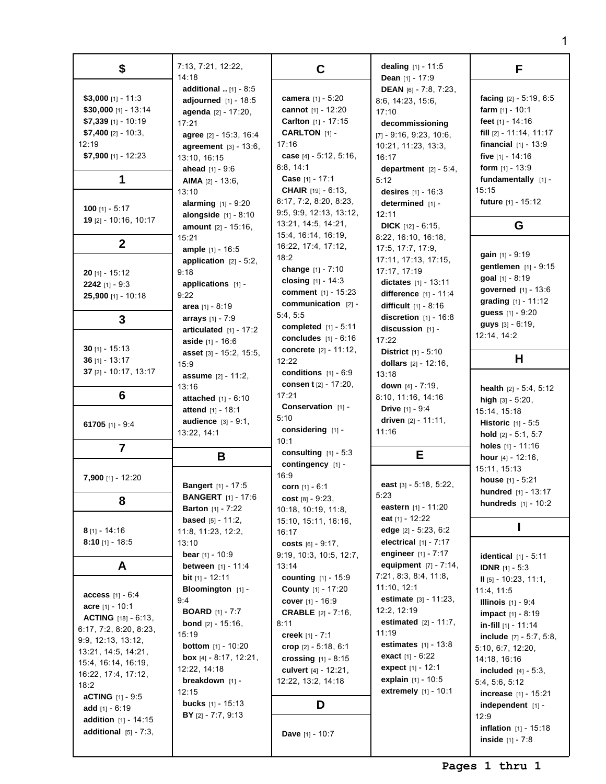| \$                                                                                                                                                                                                                                                                                                                                 | 7:13, 7:21, 12:22,<br>14:18                                                                                                                                                                                                                                                                                                        | C                                                                                                                                                                                                                                                                                                                | dealing $[1] - 11:5$<br><b>Dean</b> $[1]$ - 17:9                                                                                                                                                                                                                                                           | F                                                                                                                                                                                                                                                                                                                                                                                                                                         |
|------------------------------------------------------------------------------------------------------------------------------------------------------------------------------------------------------------------------------------------------------------------------------------------------------------------------------------|------------------------------------------------------------------------------------------------------------------------------------------------------------------------------------------------------------------------------------------------------------------------------------------------------------------------------------|------------------------------------------------------------------------------------------------------------------------------------------------------------------------------------------------------------------------------------------------------------------------------------------------------------------|------------------------------------------------------------------------------------------------------------------------------------------------------------------------------------------------------------------------------------------------------------------------------------------------------------|-------------------------------------------------------------------------------------------------------------------------------------------------------------------------------------------------------------------------------------------------------------------------------------------------------------------------------------------------------------------------------------------------------------------------------------------|
| \$3,000 [1] - 11:3<br>\$30,000 [1] - 13:14<br>$$7,339$ [1] - 10:19<br>$$7,400$ [2] - 10:3,<br>12:19<br>$$7,900$ [1] - 12:23                                                                                                                                                                                                        | <b>additional</b> $[1] - 8:5$<br>adjourned $[1] - 18:5$<br>agenda [2] - 17:20,<br>17:21<br>agree [2] - 15:3, 16:4<br><b>agreement</b> $[3] - 13:6$ ,<br>13:10, 16:15                                                                                                                                                               | camera [1] - 5:20<br>cannot [1] - 12:20<br>Carlton [1] - 17:15<br>CARLTON [1] -<br>17:16<br>case $[4] - 5:12, 5:16$ ,<br>6:8, 14:1                                                                                                                                                                               | DEAN [6] - 7:8, 7:23,<br>8:6, 14:23, 15:6,<br>17:10<br>decommissioning<br>$[7] - 9:16, 9:23, 10:6,$<br>10:21, 11:23, 13:3,<br>16:17                                                                                                                                                                        | facing $[2] - 5:19, 6:5$<br>farm $[1] - 10:1$<br>feet [1] - 14:16<br>fill $[2] - 11:14, 11:17$<br>financial $[1] - 13:9$<br>five $[1] - 14:16$<br>form $[1] - 13:9$                                                                                                                                                                                                                                                                       |
| 1                                                                                                                                                                                                                                                                                                                                  | <b>ahead</b> $[1] - 9:6$<br>AIMA $[2] - 13:6$ ,<br>13:10<br><b>alarming</b> $[1] - 9:20$                                                                                                                                                                                                                                           | <b>Case</b> $[1] - 17:1$<br><b>CHAIR</b> $[19] - 6:13$<br>6:17, 7:2, 8:20, 8:23,                                                                                                                                                                                                                                 | department $[2] - 5:4$ ,<br>5:12<br>desires [1] - 16:3<br>determined [1] -                                                                                                                                                                                                                                 | fundamentally [1] -<br>15:15<br>future $[1] - 15:12$                                                                                                                                                                                                                                                                                                                                                                                      |
| 100 [1] - $5:17$<br>19 [2] - 10:16, 10:17                                                                                                                                                                                                                                                                                          | <b>alongside</b> $[1] - 8:10$<br><b>amount</b> $[2] - 15:16$ ,<br>15:21                                                                                                                                                                                                                                                            | 9:5, 9:9, 12:13, 13:12,<br>13:21, 14:5, 14:21,<br>15:4, 16:14, 16:19,                                                                                                                                                                                                                                            | 12:11<br><b>DICK</b> $[12] - 6:15$<br>8:22, 16:10, 16:18,                                                                                                                                                                                                                                                  | G                                                                                                                                                                                                                                                                                                                                                                                                                                         |
| $\mathbf{2}$<br>$20$ [1] - 15:12<br>2242 [1] - $9:3$<br>25,900 [1] - 10:18<br>3                                                                                                                                                                                                                                                    | ample [1] - 16:5<br>application $[2] - 5:2$ ,<br>9:18<br>applications $[1]$ -<br>9:22<br>area $[1] - 8:19$<br>arrays [1] - 7:9<br>articulated $[1] - 17:2$                                                                                                                                                                         | 16:22, 17:4, 17:12,<br>18:2<br>change [1] - 7:10<br>closing $[1] - 14:3$<br><b>comment</b> $[1] - 15:23$<br>communication [2] -<br>5:4, 5:5<br>completed $[1] - 5:11$                                                                                                                                            | 17:5, 17:7, 17:9,<br>17:11, 17:13, 17:15,<br>17:17, 17:19<br>dictates $[1] - 13:11$<br>difference $[1] - 11:4$<br>difficult $[1] - 8:16$<br>discretion $[1] - 16:8$<br>discussion [1] -                                                                                                                    | gain $[1]$ - 9:19<br>gentlemen [1] - 9:15<br>goal [1] - 8:19<br><b>governed</b> $[1] - 13:6$<br>grading $[1] - 11:12$<br>guess [1] - 9:20<br>guys [3] - 6:19,                                                                                                                                                                                                                                                                             |
| 30 $[1] - 15:13$<br>36 $[1] - 13:17$<br>37 $[2] - 10:17, 13:17$                                                                                                                                                                                                                                                                    | <b>aside</b> $[1] - 16:6$<br>asset [3] - 15:2, 15:5,<br>15:9                                                                                                                                                                                                                                                                       | concludes $[1] - 6:16$<br>concrete [2] - 11:12,<br>12:22<br>conditions $[1] - 6:9$                                                                                                                                                                                                                               | 17:22<br><b>District</b> $[1] - 5:10$<br>dollars [2] - 12:16,                                                                                                                                                                                                                                              | 12:14, 14:2<br>н                                                                                                                                                                                                                                                                                                                                                                                                                          |
| 6                                                                                                                                                                                                                                                                                                                                  | <b>assume</b> $[2] - 11:2$<br>13:16<br><b>attached</b> $[1] - 6:10$<br>attend [1] - 18:1                                                                                                                                                                                                                                           | consent [2] - 17:20,<br>17:21<br><b>Conservation</b> $[1]$ -                                                                                                                                                                                                                                                     | 13:18<br>down $[4] - 7:19$ ,<br>8:10, 11:16, 14:16<br><b>Drive</b> $[1] - 9:4$                                                                                                                                                                                                                             | <b>health</b> $[2] - 5:4, 5:12$<br>high $[3] - 5:20$ ,<br>15:14, 15:18                                                                                                                                                                                                                                                                                                                                                                    |
| 61705 [1] - $9:4$<br>$\overline{7}$                                                                                                                                                                                                                                                                                                | <b>audience</b> $[3] - 9:1$ ,<br>13:22, 14:1                                                                                                                                                                                                                                                                                       | 5:10<br>considering [1] -<br>10:1                                                                                                                                                                                                                                                                                | driven $[2] - 11:11$ ,<br>11:16                                                                                                                                                                                                                                                                            | <b>Historic</b> $[1] - 5:5$<br>hold [2] - 5:1, 5:7<br>holes [1] - 11:16                                                                                                                                                                                                                                                                                                                                                                   |
| $7,900$ [1] - 12:20                                                                                                                                                                                                                                                                                                                | B<br><b>Bangert</b> [1] - 17:5                                                                                                                                                                                                                                                                                                     | consulting $[1] - 5:3$<br>contingency [1] -<br>16:9<br>corn $[1] - 6:1$                                                                                                                                                                                                                                          | Е<br>east $[3] - 5:18, 5:22,$                                                                                                                                                                                                                                                                              | hour $[4] - 12:16$ ,<br>15:11, 15:13<br><b>house</b> $[1] - 5:21$                                                                                                                                                                                                                                                                                                                                                                         |
| 8                                                                                                                                                                                                                                                                                                                                  | <b>BANGERT</b> [1] - 17:6<br><b>Barton</b> $[1] - 7:22$<br><b>based</b> $[5] - 11:2$ ,                                                                                                                                                                                                                                             | cost $[8] - 9:23$ ,<br>10:18, 10:19, 11:8,                                                                                                                                                                                                                                                                       | 5:23<br>eastern $[1] - 11:20$<br>eat $[1] - 12:22$                                                                                                                                                                                                                                                         | <b>hundred</b> $[1] - 13:17$<br>hundreds [1] - 10:2                                                                                                                                                                                                                                                                                                                                                                                       |
| $8$ [1] - 14:16<br>$8:10$ [1] - 18:5                                                                                                                                                                                                                                                                                               | 11:8, 11:23, 12:2,<br>13:10<br><b>bear</b> $[1] - 10:9$                                                                                                                                                                                                                                                                            | 15:10, 15:11, 16:16,<br>16:17<br>costs $[6] - 9:17$ ,                                                                                                                                                                                                                                                            | edge $[2] - 5:23, 6:2$<br>electrical $[1] - 7:17$<br>engineer $[1] - 7:17$                                                                                                                                                                                                                                 |                                                                                                                                                                                                                                                                                                                                                                                                                                           |
| A<br><b>access</b> $[1] - 6:4$<br><b>acre</b> [1] - 10:1<br><b>ACTING</b> $[18] - 6:13$<br>6:17, 7:2, 8:20, 8:23,<br>9:9, 12:13, 13:12,<br>13:21, 14:5, 14:21,<br>15:4, 16:14, 16:19,<br>16:22, 17:4, 17:12,<br>18:2<br><b>aCTING</b> $[1] - 9:5$<br>add $[1] - 6:19$<br><b>addition</b> $[1] - 14:15$<br>additional $[5] - 7:3$ , | <b>between</b> $[1] - 11:4$<br><b>bit</b> [1] - 12:11<br>Bloomington [1] -<br>9:4<br><b>BOARD</b> $[1] - 7:7$<br><b>bond</b> $[2] - 15:16$<br>15:19<br><b>bottom</b> $[1] - 10:20$<br><b>box</b> $[4] - 8:17$ , $12:21$ ,<br>12:22, 14:18<br>breakdown [1] -<br>12:15<br><b>bucks</b> $[1] - 15:13$<br><b>BY</b> $[2] - 7:7, 9:13$ | 9:19, 10:3, 10:5, 12:7,<br>13:14<br><b>counting</b> $[1] - 15:9$<br><b>County</b> [1] - 17:20<br>cover [1] - 16:9<br><b>CRABLE</b> [2] - 7:16,<br>8:11<br>creek $[1] - 7:1$<br>crop $[2] - 5:18, 6:1$<br>crossing $[1] - 8:15$<br>culvert $[4] - 12:21$ ,<br>12:22, 13:2, 14:18<br>D<br><b>Dave</b> $[1] - 10:7$ | equipment $[7] - 7:14$ ,<br>7:21, 8:3, 8:4, 11:8,<br>11:10, 12:1<br><b>estimate</b> $[3] - 11:23$ ,<br>12:2, 12:19<br><b>estimated</b> $[2] - 11:7$ ,<br>11:19<br>estimates $[1] - 13:8$<br><b>exact</b> $[1] - 6:22$<br><b>expect</b> $[1] - 12:1$<br><b>explain</b> $[1] - 10:5$<br>extremely [1] - 10:1 | <b>identical</b> $[1] - 5:11$<br><b>IDNR</b> $[1] - 5:3$<br>$II$ [5] - 10:23, 11:1,<br>11:4, 11:5<br><b>Illinois</b> $[1] - 9:4$<br><b>impact</b> $[1] - 8:19$<br>in-fill $[1]$ - 11:14<br><b>include</b> $[7] - 5:7, 5:8,$<br>5:10, 6:7, 12:20,<br>14:18, 16:16<br><b>included</b> $[4] - 5:3$ ,<br>5:4, 5:6, 5:12<br>increase [1] - 15:21<br>independent $[1]$ -<br>12:9<br><b>inflation</b> $[1] - 15:18$<br><b>inside</b> $[1] - 7:8$ |

**Pages 1 thru 1**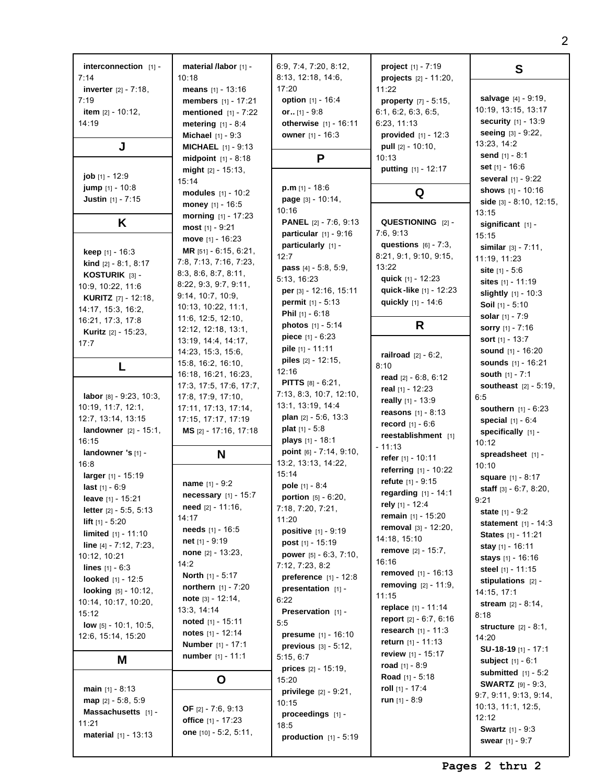| interconnection [1] -           | material /labor [1] -        | 6:9, 7:4, 7:20, 8:12,           | project [1] - 7:19              | S                               |
|---------------------------------|------------------------------|---------------------------------|---------------------------------|---------------------------------|
| 7:14                            | 10:18                        | 8:13, 12:18, 14:6,              | projects [2] - 11:20,           |                                 |
| <b>inverter</b> $[2] - 7:18$ ,  | means $[1] - 13:16$          | 17:20                           | 11:22                           |                                 |
| 7:19                            | members [1] - 17:21          | option [1] - 16:4               | property [7] - 5:15,            | salvage [4] - 9:19,             |
| item $[2] - 10:12$ ,            | mentioned $[1] - 7:22$       | or $[1] - 9.8$                  | 6:1, 6:2, 6:3, 6:5,             | 10:19, 13:15, 13:17             |
|                                 |                              |                                 |                                 | security [1] - 13:9             |
| 14:19                           | metering $[1] - 8:4$         | otherwise $[1] - 16:11$         | 6:23, 11:13                     |                                 |
|                                 | <b>Michael</b> $[1] - 9:3$   | owner [1] - 16:3                | provided $[1] - 12:3$           | seeing [3] - 9:22,              |
| J                               | <b>MICHAEL</b> [1] - 9:13    |                                 | <b>pull</b> $[2] - 10:10$ ,     | 13:23, 14:2                     |
|                                 | midpoint $[1] - 8:18$        | P                               | 10:13                           | send $[1] - 8:1$                |
|                                 |                              |                                 |                                 | set $[1] - 16:6$                |
| <b>job</b> $[1]$ - 12:9         | might $[2] - 15:13$ ,        |                                 | putting [1] - 12:17             |                                 |
|                                 | 15:14                        |                                 |                                 | several [1] - 9:22              |
| jump [1] - 10:8                 | modules $[1] - 10:2$         | <b>p.m</b> $[1] - 18:6$         | Q                               | shows [1] - 10:16               |
| <b>Justin</b> [1] - 7:15        | money [1] - 16:5             | page [3] - 10:14,               |                                 | side [3] - 8:10, 12:15,         |
|                                 |                              | 10:16                           |                                 | 13:15                           |
| Κ                               | morning [1] - 17:23          | <b>PANEL</b> [2] - 7:6, 9:13    | QUESTIONING [2] -               |                                 |
|                                 | most $[1] - 9:21$            |                                 | 7:6, 9:13                       | significant [1] -               |
|                                 | move [1] - 16:23             | particular $[1]$ - $9:16$       |                                 | 15:15                           |
| keep [1] - 16:3                 | MR $[51] - 6:15, 6:21$ ,     | particularly [1] -              | questions $[6] - 7:3$ ,         | similar $[3] - 7:11$ ,          |
|                                 | 7:8, 7:13, 7:16, 7:23,       | 12:7                            | 8:21, 9:1, 9:10, 9:15,          | 11:19, 11:23                    |
| <b>kind</b> $[2] - 8:1, 8:17$   |                              | <b>pass</b> $[4] - 5.8, 5.9,$   | 13:22                           | site $[1] - 5:6$                |
| KOSTURIK [3] -                  | 8:3, 8:6, 8:7, 8:11,         | 5:13, 16:23                     | quick [1] - 12:23               |                                 |
| 10:9, 10:22, 11:6               | 8:22, 9:3, 9:7, 9:11,        | per [3] - 12:16, 15:11          | quick-like [1] - 12:23          | sites [1] - 11:19               |
| <b>KURITZ</b> [7] - 12:18,      | 9:14, 10:7, 10:9,            |                                 |                                 | slightly [1] - 10:3             |
| 14:17, 15:3, 16:2,              | 10:13, 10:22, 11:1,          | <b>permit</b> $[1] - 5:13$      | quickly [1] - 14:6              | <b>Soil</b> $[1] - 5:10$        |
|                                 | 11:6, 12:5, 12:10,           | <b>Phil</b> $[1] - 6:18$        |                                 | solar [1] - 7:9                 |
| 16:21, 17:3, 17:8               | 12:12, 12:18, 13:1,          | <b>photos</b> $[1] - 5:14$      | R                               | sorry [1] - 7:16                |
| Kuritz [2] - 15:23,             |                              | <b>piece</b> $[1] - 6:23$       |                                 | sort $[1] - 13:7$               |
| 17:7                            | 13:19, 14:4, 14:17,          | <b>pile</b> $[1] - 11:11$       |                                 |                                 |
|                                 | 14:23, 15:3, 15:6,           |                                 | <b>railroad</b> $[2] - 6:2$ ,   | sound [1] - 16:20               |
| L                               | 15:8, 16:2, 16:10,           | <b>piles</b> $[2] - 12:15$ ,    | 8:10                            | <b>sounds</b> [1] - 16:21       |
|                                 | 16:18, 16:21, 16:23,         | 12:16                           |                                 | <b>south</b> $[1] - 7:1$        |
|                                 | 17:3, 17:5, 17:6, 17:7,      | <b>PITTS</b> $[8] - 6:21$ ,     | read [2] - 6:8, 6:12            | <b>southeast</b> $[2] - 5:19$ , |
| labor [8] - 9:23, 10:3,         | 17:8, 17:9, 17:10,           | 7:13, 8:3, 10:7, 12:10,         | real [1] - 12:23                | 6:5                             |
|                                 |                              | 13:1, 13:19, 14:4               | really [1] - 13:9               |                                 |
| 10:19, 11:7, 12:1,              | 17:11, 17:13, 17:14,         |                                 | <b>reasons</b> $[1] - 8:13$     | <b>southern</b> $[1] - 6:23$    |
| 12:7, 13:14, 13:15              | 17:15, 17:17, 17:19          | <b>plan</b> $[2] - 5:6, 13:3$   | <b>record</b> $[1] - 6:6$       | special $[1] - 6:4$             |
| <b>landowner</b> $[2] - 15:1$ , | MS [2] - 17:16, 17:18        | <b>plat</b> $[1] - 5:8$         | reestablishment [1]             | specifically [1] -              |
| 16:15                           |                              | plays [1] - 18:1                |                                 | 10:12                           |
| landowner 's [1] -              | N                            | point [6] - 7:14, 9:10,         | - 11:13                         | spreadsheet [1] -               |
| 16:8                            |                              | 13:2, 13:13, 14:22,             | refer [1] - 10:11               |                                 |
|                                 |                              | 15:14                           | referring [1] - 10:22           | 10:10                           |
| larger [1] - 15:19              | name [1] - 9:2               |                                 | refute [1] - 9:15               | <b>square</b> $[1] - 8:17$      |
| last $[1] - 6:9$                |                              | <b>pole</b> $[1] - 8:4$         | regarding [1] - 14:1            | staff [3] - 6:7, 8:20,          |
| leave [1] - 15:21               | necessary [1] - 15:7         | <b>portion</b> $[5] - 6:20$ ,   |                                 | 9:21                            |
| <b>letter</b> $[2] - 5:5, 5:13$ | <b>need</b> $[2] - 11:16$ ,  | 7:18, 7:20, 7:21,               | rely $[1]$ - 12:4               | state $[1] - 9:2$               |
| <b>lift</b> $[1] - 5:20$        | 14:17                        | 11:20                           | remain $[1] - 15:20$            |                                 |
|                                 | <b>needs</b> $[1] - 16:5$    | <b>positive</b> $[1] - 9:19$    | removal $[3] - 12:20$ ,         | <b>statement</b> $[1] - 14:3$   |
| <b>limited</b> $[1] - 11:10$    | net $[1] - 9:19$             | post $[1] - 15:19$              | 14:18, 15:10                    | States [1] - 11:21              |
| line $[4] - 7:12$ , $7:23$ ,    | <b>none</b> $[2] - 13:23$ ,  |                                 | <b>remove</b> $[2] - 15:7$ ,    | <b>stay</b> $[1]$ - 16:11       |
| 10:12, 10:21                    |                              | power [5] - 6:3, 7:10,          | 16:16                           | stays $[1] - 16:16$             |
| <b>lines</b> $[1] - 6:3$        | 14:2                         | 7:12, 7:23, 8:2                 |                                 | steel $[1] - 11:15$             |
| looked [1] - 12:5               | <b>North</b> $[1] - 5:17$    | preference [1] - 12:8           | <b>removed</b> $[1] - 16:13$    | stipulations $[2]$ -            |
| looking [5] - 10:12,            | <b>northern</b> $[1] - 7:20$ | presentation $[1]$ -            | removing [2] - 11:9,            | 14:15, 17:1                     |
|                                 | note $[3] - 12:14$ ,         | 6:22                            | 11:15                           |                                 |
| 10:14, 10:17, 10:20,            | 13:3, 14:14                  |                                 | replace $[1] - 11:14$           | stream $[2] - 8:14$ ,           |
| 15:12                           |                              | Preservation [1] -              | <b>report</b> $[2] - 6:7, 6:16$ | 8:18                            |
| <b>low</b> $[5] - 10:1$ , 10:5, | noted $[1] - 15:11$          | 5:5                             | <b>research</b> $[1] - 11:3$    | <b>structure</b> $[2] - 8:1$ ,  |
| 12:6, 15:14, 15:20              | notes $[1] - 12:14$          | <b>presume</b> $[1] - 16:10$    |                                 | 14:20                           |
|                                 | <b>Number</b> [1] - 17:1     | previous $[3] - 5:12$ ,         | return $[1] - 11:13$            | SU-18-19 [1] - 17:1             |
| M                               | <b>number</b> $[1] - 11:1$   | 5:15, 6:7                       | review $[1] - 15:17$            |                                 |
|                                 |                              | <b>prices</b> $[2] - 15:19$ ,   | road $[1] - 8:9$                | <b>subject</b> $[1] - 6:1$      |
|                                 |                              |                                 | <b>Road</b> $[1] - 5:18$        | submitted $[1] - 5:2$           |
|                                 | O                            | 15:20                           | roll $[1] - 17:4$               | <b>SWARTZ</b> $[9] - 9:3$       |
| <b>main</b> $[1] - 8:13$        |                              | <b>privilege</b> $[2] - 9:21$ , |                                 | 9:7, 9:11, 9:13, 9:14,          |
| $map$ [2] - 5:8, 5:9            |                              | 10:15                           | <b>run</b> $[1] - 8:9$          | 10:13, 11:1, 12:5,              |
| Massachusetts [1] -             | <b>OF</b> [2] - 7:6, 9:13    | proceedings [1] -               |                                 | 12:12                           |
| 11:21                           | office [1] - 17:23           | 18:5                            |                                 |                                 |
| <b>material</b> $[1] - 13:13$   | one [10] - 5:2, 5:11,        | production $[1] - 5:19$         |                                 | <b>Swartz</b> $[1] - 9:3$       |
|                                 |                              |                                 |                                 | <b>swear</b> [1] - 9:7          |
|                                 |                              |                                 |                                 |                                 |

**Pages 2 thru 2**